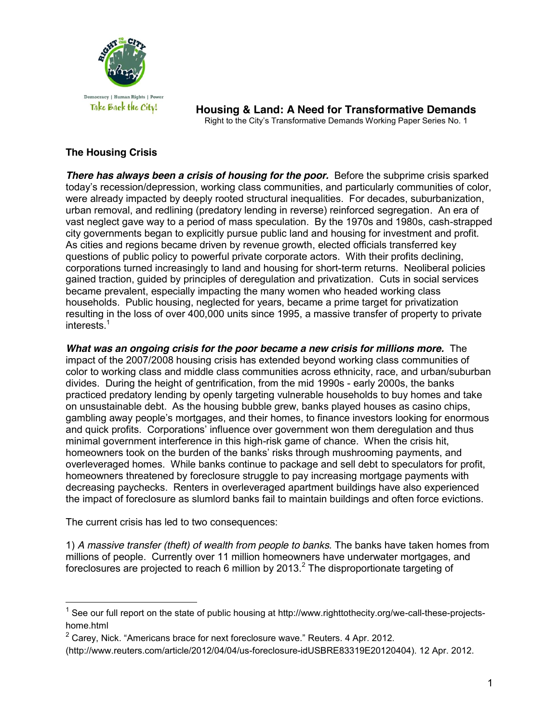

**Housing & Land: A Need for Transformative Demands** Right to the City's Transformative Demands Working Paper Series No. 1

# **The Housing Crisis**

**There has always been a crisis of housing for the poor.** Before the subprime crisis sparked today's recession/depression, working class communities, and particularly communities of color, were already impacted by deeply rooted structural inequalities. For decades, suburbanization, urban removal, and redlining (predatory lending in reverse) reinforced segregation. An era of vast neglect gave way to a period of mass speculation. By the 1970s and 1980s, cash-strapped city governments began to explicitly pursue public land and housing for investment and profit. As cities and regions became driven by revenue growth, elected officials transferred key questions of public policy to powerful private corporate actors. With their profits declining, corporations turned increasingly to land and housing for short-term returns. Neoliberal policies gained traction, guided by principles of deregulation and privatization. Cuts in social services became prevalent, especially impacting the many women who headed working class households. Public housing, neglected for years, became a prime target for privatization resulting in the loss of over 400,000 units since 1995, a massive transfer of property to private interests.<sup>1</sup>

*What was an ongoing crisis for the poor became a new crisis for millions more.*The impact of the 2007/2008 housing crisis has extended beyond working class communities of color to working class and middle class communities across ethnicity, race, and urban/suburban divides. During the height of gentrification, from the mid 1990s - early 2000s, the banks practiced predatory lending by openly targeting vulnerable households to buy homes and take on unsustainable debt. As the housing bubble grew, banks played houses as casino chips, gambling away people's mortgages, and their homes, to finance investors looking for enormous and quick profits. Corporations' influence over government won them deregulation and thus minimal government interference in this high-risk game of chance. When the crisis hit, homeowners took on the burden of the banks' risks through mushrooming payments, and overleveraged homes. While banks continue to package and sell debt to speculators for profit, homeowners threatened by foreclosure struggle to pay increasing mortgage payments with decreasing paychecks. Renters in overleveraged apartment buildings have also experienced the impact of foreclosure as slumlord banks fail to maintain buildings and often force evictions.

The current crisis has led to two consequences:

1) *A massive transfer (theft) of wealth from people to banks.* The banks have taken homes from millions of people. Currently over 11 million homeowners have underwater mortgages, and foreclosures are projected to reach 6 million by 2013. $^2$  The disproportionate targeting of

 $1$  See our full report on the state of public housing at http://www.righttothecity.org/we-call-these-projectshome.html

 $2$  Carey. Nick. "Americans brace for next foreclosure wave." Reuters. 4 Apr. 2012.

<sup>(</sup>http://www.reuters.com/article/2012/04/04/us-foreclosure-idUSBRE83319E20120404). 12 Apr. 2012.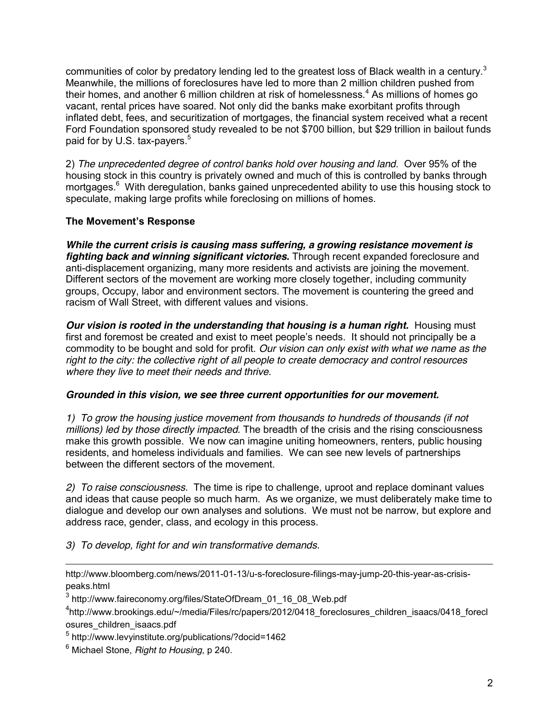communities of color by predatory lending led to the greatest loss of Black wealth in a century.<sup>3</sup> Meanwhile, the millions of foreclosures have led to more than 2 million children pushed from their homes, and another 6 million children at risk of homelessness.<sup>4</sup> As millions of homes go vacant, rental prices have soared. Not only did the banks make exorbitant profits through inflated debt, fees, and securitization of mortgages, the financial system received what a recent Ford Foundation sponsored study revealed to be not \$700 billion, but \$29 trillion in bailout funds paid for by U.S. tax-payers.<sup>5</sup>

2) *The unprecedented degree of control banks hold over housing and land*. Over 95% of the housing stock in this country is privately owned and much of this is controlled by banks through mortgages.<sup>6</sup> With deregulation, banks gained unprecedented ability to use this housing stock to speculate, making large profits while foreclosing on millions of homes.

# **The Movement's Response**

*While the current crisis is causing mass suffering, a growing resistance movement is fighting back and winning significant victories.* Through recent expanded foreclosure and anti-displacement organizing, many more residents and activists are joining the movement. Different sectors of the movement are working more closely together, including community groups, Occupy, labor and environment sectors. The movement is countering the greed and racism of Wall Street, with different values and visions.

*Our vision is rooted in the understanding that housing is a human right.* **Housing must** first and foremost be created and exist to meet people's needs. It should not principally be a commodity to be bought and sold for profit. *Our vision can only exist with what we name as the right to the city: the collective right of all people to create democracy and control resources where they live to meet their needs and thrive.*

## *Grounded in this vision, we see three current opportunities for our movement.*

*1) To grow the housing justice movement from thousands to hundreds of thousands (if not millions) led by those directly impacted.* The breadth of the crisis and the rising consciousness make this growth possible. We now can imagine uniting homeowners, renters, public housing residents, and homeless individuals and families. We can see new levels of partnerships between the different sectors of the movement.

*2) To raise consciousness.* The time is ripe to challenge, uproot and replace dominant values and ideas that cause people so much harm. As we organize, we must deliberately make time to dialogue and develop our own analyses and solutions. We must not be narrow, but explore and address race, gender, class, and ecology in this process.

*3) To develop, fight for and win transformative demands.*

 $\overline{a}$ 

http://www.bloomberg.com/news/2011-01-13/u-s-foreclosure-filings-may-jump-20-this-year-as-crisispeaks.html

 $3$  http://www.faireconomy.org/files/StateOfDream\_01\_16\_08\_Web.pdf

<sup>4</sup> http://www.brookings.edu/~/media/Files/rc/papers/2012/0418\_foreclosures\_children\_isaacs/0418\_forecl osures\_children\_isaacs.pdf

<sup>5</sup> http://www.levyinstitute.org/publications/?docid=1462

<sup>6</sup> Michael Stone, *Right to Housing*, p 240.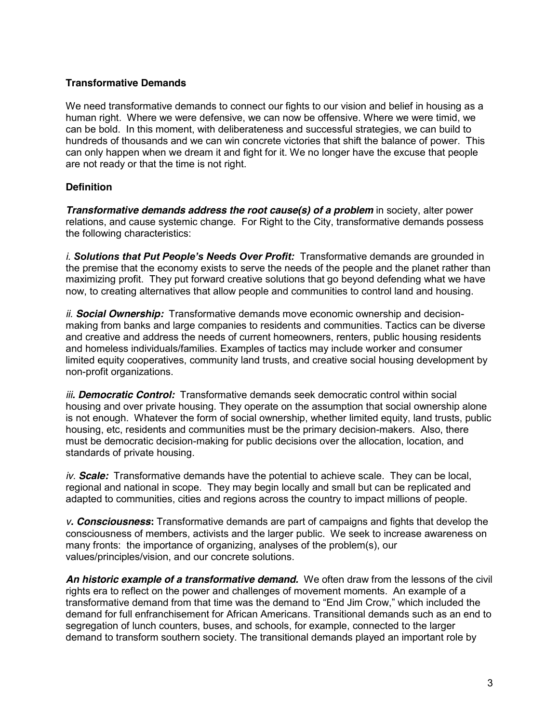## **Transformative Demands**

We need transformative demands to connect our fights to our vision and belief in housing as a human right. Where we were defensive, we can now be offensive. Where we were timid, we can be bold. In this moment, with deliberateness and successful strategies, we can build to hundreds of thousands and we can win concrete victories that shift the balance of power. This can only happen when we dream it and fight for it. We no longer have the excuse that people are not ready or that the time is not right.

# **Definition**

*Transformative demands address the root cause(s) of a problem in society, alter power* relations, and cause systemic change. For Right to the City, transformative demands possess the following characteristics:

*i. Solutions that Put People's Needs Over Profit:* Transformative demands are grounded in the premise that the economy exists to serve the needs of the people and the planet rather than maximizing profit. They put forward creative solutions that go beyond defending what we have now, to creating alternatives that allow people and communities to control land and housing.

*ii. Social Ownership:* Transformative demands move economic ownership and decisionmaking from banks and large companies to residents and communities. Tactics can be diverse and creative and address the needs of current homeowners, renters, public housing residents and homeless individuals/families. Examples of tactics may include worker and consumer limited equity cooperatives, community land trusts, and creative social housing development by non-profit organizations.

*iii. Democratic Control:* Transformative demands seek democratic control within social housing and over private housing. They operate on the assumption that social ownership alone is not enough. Whatever the form of social ownership, whether limited equity, land trusts, public housing, etc, residents and communities must be the primary decision-makers. Also, there must be democratic decision-making for public decisions over the allocation, location, and standards of private housing.

*iv. Scale:* Transformative demands have the potential to achieve scale. They can be local, regional and national in scope. They may begin locally and small but can be replicated and adapted to communities, cities and regions across the country to impact millions of people.

*v. Consciousness***:** Transformative demands are part of campaigns and fights that develop the consciousness of members, activists and the larger public. We seek to increase awareness on many fronts: the importance of organizing, analyses of the problem(s), our values/principles/vision, and our concrete solutions.

*An historic example of a transformative demand.* We often draw from the lessons of the civil rights era to reflect on the power and challenges of movement moments. An example of a transformative demand from that time was the demand to "End Jim Crow," which included the demand for full enfranchisement for African Americans. Transitional demands such as an end to segregation of lunch counters, buses, and schools, for example, connected to the larger demand to transform southern society. The transitional demands played an important role by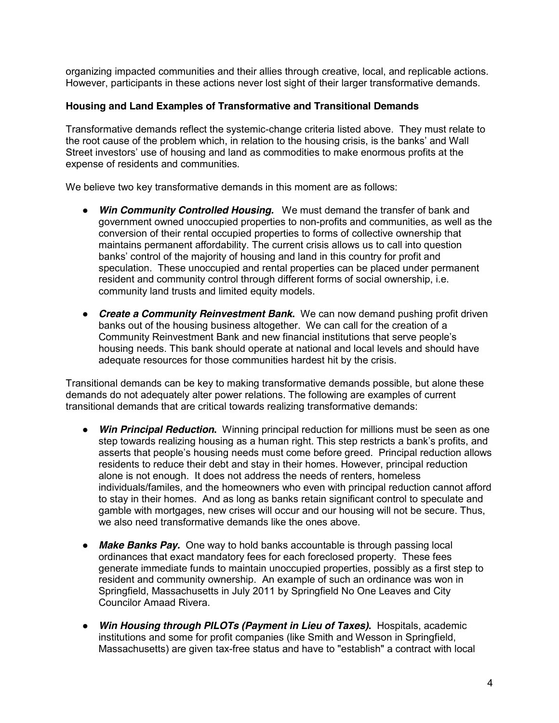organizing impacted communities and their allies through creative, local, and replicable actions. However, participants in these actions never lost sight of their larger transformative demands.

## **Housing and Land Examples of Transformative and Transitional Demands**

Transformative demands reflect the systemic-change criteria listed above. They must relate to the root cause of the problem which, in relation to the housing crisis, is the banks' and Wall Street investors' use of housing and land as commodities to make enormous profits at the expense of residents and communities.

We believe two key transformative demands in this moment are as follows:

- **Win Community Controlled Housing.** We must demand the transfer of bank and government owned unoccupied properties to non-profits and communities, as well as the conversion of their rental occupied properties to forms of collective ownership that maintains permanent affordability. The current crisis allows us to call into question banks' control of the majority of housing and land in this country for profit and speculation. These unoccupied and rental properties can be placed under permanent resident and community control through different forms of social ownership, i.e. community land trusts and limited equity models.
- *● Create a Community Reinvestment Bank***.** We can now demand pushing profit driven banks out of the housing business altogether. We can call for the creation of a Community Reinvestment Bank and new financial institutions that serve people's housing needs. This bank should operate at national and local levels and should have adequate resources for those communities hardest hit by the crisis.

Transitional demands can be key to making transformative demands possible, but alone these demands do not adequately alter power relations. The following are examples of current transitional demands that are critical towards realizing transformative demands:

- *● Win Principal Reduction***.** Winning principal reduction for millions must be seen as one step towards realizing housing as a human right. This step restricts a bank's profits, and asserts that people's housing needs must come before greed. Principal reduction allows residents to reduce their debt and stay in their homes. However, principal reduction alone is not enough. It does not address the needs of renters, homeless individuals/familes, and the homeowners who even with principal reduction cannot afford to stay in their homes. And as long as banks retain significant control to speculate and gamble with mortgages, new crises will occur and our housing will not be secure. Thus, we also need transformative demands like the ones above.
- *● Make Banks Pay.* One way to hold banks accountable is through passing local ordinances that exact mandatory fees for each foreclosed property. These fees generate immediate funds to maintain unoccupied properties, possibly as a first step to resident and community ownership. An example of such an ordinance was won in Springfield, Massachusetts in July 2011 by Springfield No One Leaves and City Councilor Amaad Rivera.
- *● Win Housing through PILOTs (Payment in Lieu of Taxes)***.** Hospitals, academic institutions and some for profit companies (like Smith and Wesson in Springfield, Massachusetts) are given tax-free status and have to "establish" a contract with local